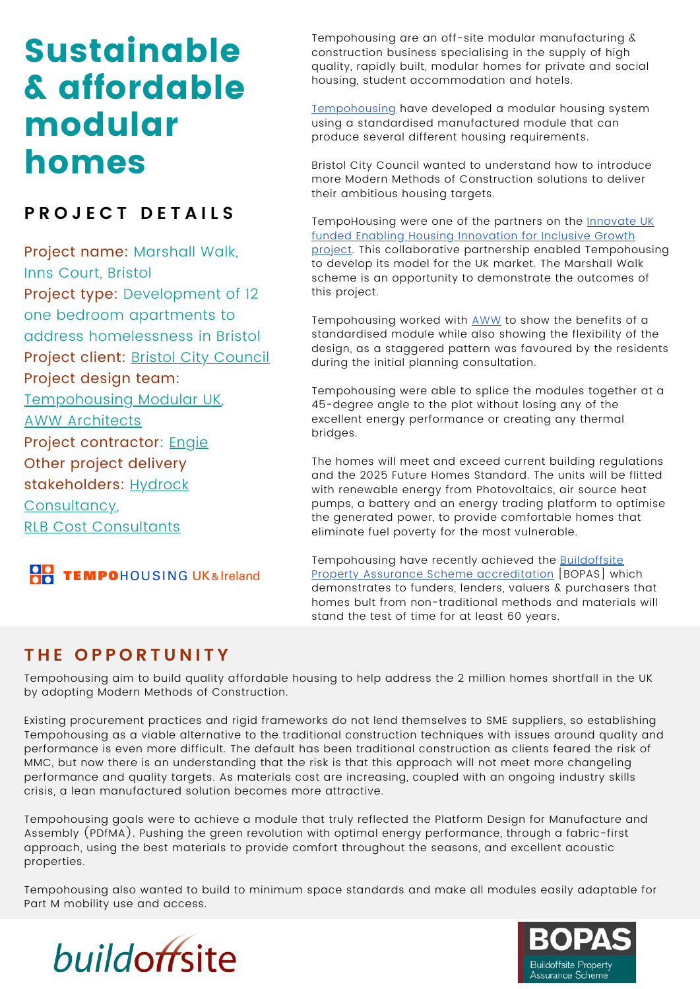# Sustainable & affordable modular homes

## **P R O J E C T D E T A I L S**

Project name: Marshall Walk, Inns Court, Bristol Project type: Development of 12 one bedroom apartments to address homelessness in Bristol Project client: Bristol City [Council](https://www.bristol.gov.uk/) Project design team: [Tempohousing](http://www.tempohousing.com/) Modular UK, AWW [Architects](https://www.aww-uk.com/) Project contractor: **[Engie](https://www.engie.co.uk/)** Other project delivery stakeholders: [Hydrock](https://www.hydrock.com/) [Consultancy](https://www.hydrock.com/), RLB Cost [Consultants](https://www.rlb.com/europe/)



Tempohousing are an off-site modular manufacturing & construction business specialising in the supply of high quality, rapidly built, modular homes for private and social housing, student accommodation and hotels.

[Tempohousing](https://www.tempohousing.org.uk/) have developed a modular housing system using a standardised manufactured module that can produce several different housing requirements.

Bristol City Council wanted to understand how to introduce more Modern Methods of Construction solutions to deliver their ambitious housing targets.

[TempoHousing](https://www.bristolhousingfestival.org.uk/projects/2020/04/01-innovate-uk-demonstator-project) were one of the partners on the **Innovate UK** funded Enabling Housing Innovation for Inclusive Growth project. This collaborative partnership enabled Tempohousing to develop its model for the UK market. The Marshall Walk scheme is an opportunity to demonstrate the outcomes of this project.

Tempohousing worked with [AWW](https://www.aww-uk.com/) to show the benefits of a standardised module while also showing the flexibility of the design, as a staggered pattern was favoured by the residents during the initial planning consultation.

Tempohousing were able to splice the modules together at a 45-degree angle to the plot without losing any of the excellent energy performance or creating any thermal bridges.

The homes will meet and exceed current building regulations and the 2025 Future Homes Standard. The units will be flitted with renewable energy from Photovoltaics, air source heat pumps, a battery and an energy trading platform to optimise the generated power, to provide comfortable homes that eliminate fuel poverty for the most vulnerable.

[Tempohousing](https://www.bopas.org/organisations/accredited-organisations/tempo-housing/) have recently achieved the Buildoffsite Property Assurance Scheme accreditation [BOPAS] which demonstrates to funders, lenders, valuers & purchasers that homes bult from non-traditional methods and materials will stand the test of time for at least 60 years.

### **T H E O P P O R T U N I T Y**

Tempohousing aim to build quality affordable housing to help address the 2 million homes shortfall in the UK by adopting Modern Methods of Construction.

Existing procurement practices and rigid frameworks do not lend themselves to SME suppliers, so establishing Tempohousing as a viable alternative to the traditional construction techniques with issues around quality and performance is even more difficult. The default has been traditional construction as clients feared the risk of MMC, but now there is an understanding that the risk is that this approach will not meet more changeling performance and quality targets. As materials cost are increasing, coupled with an ongoing industry skills crisis, a lean manufactured solution becomes more attractive.

Tempohousing goals were to achieve a module that truly reflected the Platform Design for Manufacture and Assembly (PDfMA). Pushing the green revolution with optimal energy performance, through a fabric-first approach, using the best materials to provide comfort throughout the seasons, and excellent acoustic properties.

Tempohousing also wanted to build to minimum space standards and make all modules easily adaptable for Part M mobility use and access.